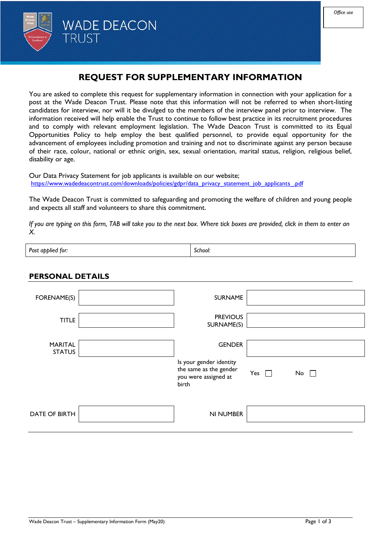

## **REQUEST FOR SUPPLEMENTARY INFORMATION**

You are asked to complete this request for supplementary information in connection with your application for a post at the Wade Deacon Trust. Please note that this information will not be referred to when short-listing candidates for interview, nor will it be divulged to the members of the interview panel prior to interview. The information received will help enable the Trust to continue to follow best practice in its recruitment procedures and to comply with relevant employment legislation. The Wade Deacon Trust is committed to its Equal Opportunities Policy to help employ the best qualified personnel, to provide equal opportunity for the advancement of employees including promotion and training and not to discriminate against any person because of their race, colour, national or ethnic origin, sex, sexual orientation, marital status, religion, religious belief, disability or age.

Our Data Privacy Statement for job applicants is available on our website; [https://www.wadedeacontrust.com/downloads/policies/gdpr/data\\_privacy\\_statement\\_job\\_applicants\\_.pdf](https://www.wadedeacontrust.com/downloads/policies/gdpr/data_privacy_statement_job_applicants_.pdf)

The Wade Deacon Trust is committed to safeguarding and promoting the welfare of children and young people and expects all staff and volunteers to share this commitment.

*If you are typing on this form, TAB will take you to the next box. Where tick boxes are provided, click in them to enter an X.*

| Post applied for: | -<br>School:<br>------ |
|-------------------|------------------------|
|                   |                        |

## **PERSONAL DETAILS**

| FORENAME(S)                     | <b>SURNAME</b>                                                                     |                               |
|---------------------------------|------------------------------------------------------------------------------------|-------------------------------|
| <b>TITLE</b>                    | <b>PREVIOUS</b><br>SURNAME(S)                                                      |                               |
| <b>MARITAL</b><br><b>STATUS</b> | <b>GENDER</b>                                                                      |                               |
|                                 | Is your gender identity<br>the same as the gender<br>you were assigned at<br>birth | Yes<br>$No \ \Box$<br>$\perp$ |
| DATE OF BIRTH                   | NI NUMBER                                                                          |                               |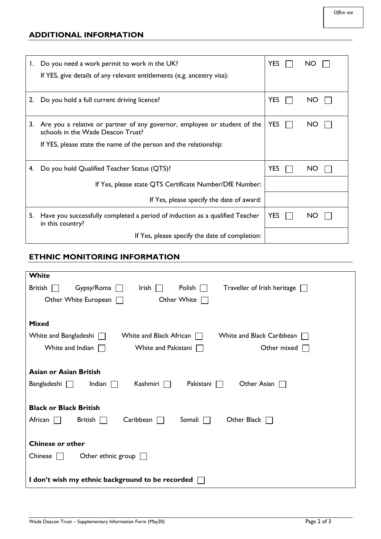## **ADDITIONAL INFORMATION**

| Ι. | Do you need a work permit to work in the UK?<br>If YES, give details of any relevant entitlements (e.g. ancestry visa):                                                             | <b>YES</b> | NO        |
|----|-------------------------------------------------------------------------------------------------------------------------------------------------------------------------------------|------------|-----------|
| 2. | Do you hold a full current driving licence?                                                                                                                                         | <b>YES</b> | <b>NO</b> |
| 3. | Are you a relative or partner of any governor, employee or student of the<br>schools in the Wade Deacon Trust?<br>If YES, please state the name of the person and the relationship: | <b>YES</b> | NO        |
| 4. | Do you hold Qualified Teacher Status (QTS)?                                                                                                                                         | <b>YES</b> | NO        |
|    | If Yes, please state QTS Certificate Number/DfE Number:                                                                                                                             |            |           |
|    | If Yes, please specify the date of award:                                                                                                                                           |            |           |
| 5. | Have you successfully completed a period of induction as a qualified Teacher<br>in this country?                                                                                    | <b>YES</b> | NO        |
|    | If Yes, please specify the date of completion:                                                                                                                                      |            |           |

## **ETHNIC MONITORING INFORMATION**

| White                                                                                           |  |  |  |  |
|-------------------------------------------------------------------------------------------------|--|--|--|--|
| Gypsy/Roma<br>British<br>Polish<br>Traveller of Irish heritage<br>Irish                         |  |  |  |  |
| Other White European<br>Other White                                                             |  |  |  |  |
|                                                                                                 |  |  |  |  |
| <b>Mixed</b>                                                                                    |  |  |  |  |
| White and Bangladeshi<br>White and Black African<br>White and Black Caribbean                   |  |  |  |  |
| White and Indian $\Box$<br>White and Pakistani<br>Other mixed                                   |  |  |  |  |
|                                                                                                 |  |  |  |  |
| <b>Asian or Asian British</b>                                                                   |  |  |  |  |
| Other Asian<br>Bangladeshi<br>Indian<br>Kashmiri<br>Pakistani                                   |  |  |  |  |
|                                                                                                 |  |  |  |  |
| <b>Black or Black British</b>                                                                   |  |  |  |  |
| Caribbean<br>Other Black<br>African<br><b>British</b><br>Somali<br>$\mathbf{1}$<br>$\mathbf{I}$ |  |  |  |  |
|                                                                                                 |  |  |  |  |
| <b>Chinese or other</b>                                                                         |  |  |  |  |
| Other ethnic group<br>Chinese                                                                   |  |  |  |  |
|                                                                                                 |  |  |  |  |
|                                                                                                 |  |  |  |  |
| I don't wish my ethnic background to be recorded                                                |  |  |  |  |